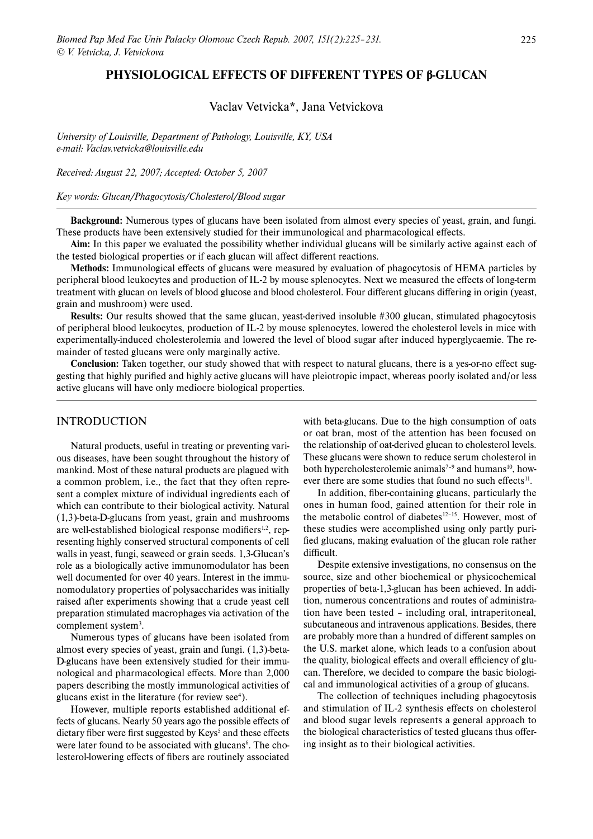## **PHYSIOLOGICAL EFFECTS OF DIFFERENT TYPES OF β-GLUCAN**

# Vaclav Vetvicka\*, Jana Vetvickova

*University of Louisville, Department of Pathology, Louisville, KY, USA e-mail: Vaclav.vetvicka@louisville.edu*

*Received: August 22, 2007; Accepted: October 5, 2007*

*Key words: Glucan/Phagocytosis/Cholesterol/Blood sugar*

**Background:** Numerous types of glucans have been isolated from almost every species of yeast, grain, and fungi. These products have been extensively studied for their immunological and pharmacological effects.

**Aim:** In this paper we evaluated the possibility whether individual glucans will be similarly active against each of the tested biological properties or if each glucan will affect different reactions.

**Methods:** Immunological effects of glucans were measured by evaluation of phagocytosis of HEMA particles by peripheral blood leukocytes and production of IL-2 by mouse splenocytes. Next we measured the effects of long-term treatment with glucan on levels of blood glucose and blood cholesterol. Four different glucans differing in origin (yeast, grain and mushroom) were used.

**Results:** Our results showed that the same glucan, yeast-derived insoluble #300 glucan, stimulated phagocytosis of peripheral blood leukocytes, production of IL-2 by mouse splenocytes, lowered the cholesterol levels in mice with experimentally-induced cholesterolemia and lowered the level of blood sugar after induced hyperglycaemie. The remainder of tested glucans were only marginally active.

**Conclusion:** Taken together, our study showed that with respect to natural glucans, there is a yes-or-no effect suggesting that highly purified and highly active glucans will have pleiotropic impact, whereas poorly isolated and/or less active glucans will have only mediocre biological properties.

## INTRODUCTION

Natural products, useful in treating or preventing various diseases, have been sought throughout the history of mankind. Most of these natural products are plagued with a common problem, i.e., the fact that they often represent a complex mixture of individual ingredients each of which can contribute to their biological activity. Natural (1,3)-beta-D-glucans from yeast, grain and mushrooms are well-established biological response modifiers<sup>1,2</sup>, representing highly conserved structural components of cell walls in yeast, fungi, seaweed or grain seeds. 1,3-Glucan's role as a biologically active immunomodulator has been well documented for over 40 years. Interest in the immunomodulatory properties of polysaccharides was initially raised after experiments showing that a crude yeast cell preparation stimulated macrophages via activation of the complement system<sup>3</sup>.

Numerous types of glucans have been isolated from almost every species of yeast, grain and fungi. (1,3)-beta-D-glucans have been extensively studied for their immunological and pharmacological effects. More than 2,000 papers describing the mostly immunological activities of glucans exist in the literature (for review  $\sec^4$ ).

However, multiple reports established additional effects of glucans. Nearly 50 years ago the possible effects of dietary fiber were first suggested by Keys<sup>5</sup> and these effects were later found to be associated with glucans<sup>6</sup>. The cholesterol-lowering effects of fibers are routinely associated

with beta-glucans. Due to the high consumption of oats or oat bran, most of the attention has been focused on the relationship of oat-derived glucan to cholesterol levels. These glucans were shown to reduce serum cholesterol in both hypercholesterolemic animals<sup> $7-9$ </sup> and humans<sup>10</sup>, however there are some studies that found no such effects $11$ .

In addition, fiber-containing glucans, particularly the ones in human food, gained attention for their role in the metabolic control of diabetes<sup>12-15</sup>. However, most of these studies were accomplished using only partly purified glucans, making evaluation of the glucan role rather difficult.

Despite extensive investigations, no consensus on the source, size and other biochemical or physicochemical properties of beta-1,3-glucan has been achieved. In addition, numerous concentrations and routes of administration have been tested – including oral, intraperitoneal, subcutaneous and intravenous applications. Besides, there are probably more than a hundred of different samples on the U.S. market alone, which leads to a confusion about the quality, biological effects and overall efficiency of glucan. Therefore, we decided to compare the basic biological and immunological activities of a group of glucans.

The collection of techniques including phagocytosis and stimulation of IL-2 synthesis effects on cholesterol and blood sugar levels represents a general approach to the biological characteristics of tested glucans thus offering insight as to their biological activities.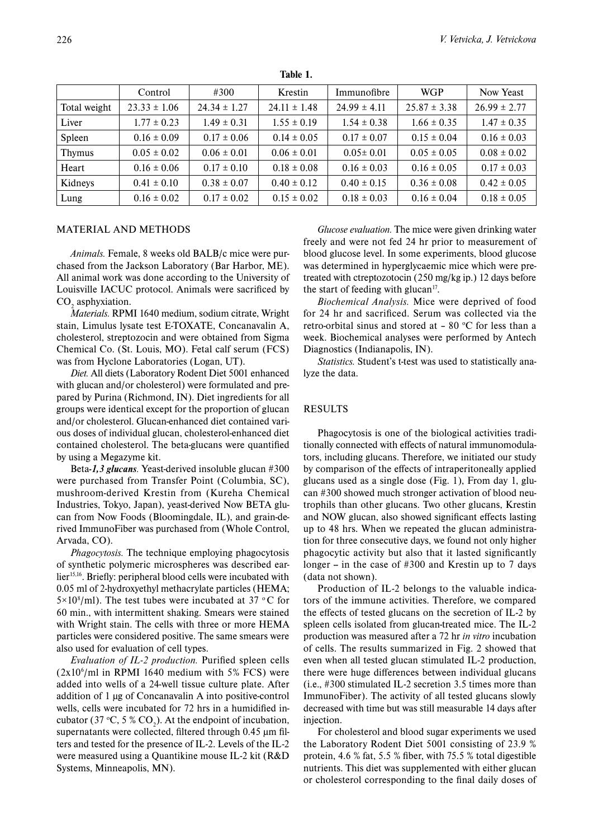|               | Control          | #300             | Krestin          | Immunofibre      | <b>WGP</b>       | Now Yeast        |
|---------------|------------------|------------------|------------------|------------------|------------------|------------------|
| Total weight  | $23.33 \pm 1.06$ | $24.34 \pm 1.27$ | $24.11 \pm 1.48$ | $24.99 \pm 4.11$ | $25.87 \pm 3.38$ | $26.99 \pm 2.77$ |
| Liver         | $1.77 \pm 0.23$  | $1.49 \pm 0.31$  | $1.55 \pm 0.19$  | $1.54 \pm 0.38$  | $1.66 \pm 0.35$  | $1.47 \pm 0.35$  |
| Spleen        | $0.16 \pm 0.09$  | $0.17 \pm 0.06$  | $0.14 \pm 0.05$  | $0.17 \pm 0.07$  | $0.15 \pm 0.04$  | $0.16 \pm 0.03$  |
| <b>Thymus</b> | $0.05 \pm 0.02$  | $0.06 \pm 0.01$  | $0.06 \pm 0.01$  | $0.05 \pm 0.01$  | $0.05 \pm 0.05$  | $0.08 \pm 0.02$  |
| Heart         | $0.16 \pm 0.06$  | $0.17 \pm 0.10$  | $0.18 \pm 0.08$  | $0.16 \pm 0.03$  | $0.16 \pm 0.05$  | $0.17 \pm 0.03$  |
| Kidneys       | $0.41 \pm 0.10$  | $0.38 \pm 0.07$  | $0.40 \pm 0.12$  | $0.40 \pm 0.15$  | $0.36 \pm 0.08$  | $0.42 \pm 0.05$  |
| Lung          | $0.16 \pm 0.02$  | $0.17 \pm 0.02$  | $0.15 \pm 0.02$  | $0.18 \pm 0.03$  | $0.16 \pm 0.04$  | $0.18 \pm 0.05$  |

**Table 1.**

#### MATERIAL AND METHODS

*Animals.* Female, 8 weeks old BALB/c mice were purchased from the Jackson Laboratory (Bar Harbor, ME). All animal work was done according to the University of Louisville IACUC protocol. Animals were sacrificed by  $CO<sub>2</sub>$  asphyxiation.

*Materials.* RPMI 1640 medium, sodium citrate, Wright stain, Limulus lysate test E-TOXATE, Concanavalin A, cholesterol, streptozocin and were obtained from Sigma Chemical Co. (St. Louis, MO). Fetal calf serum (FCS) was from Hyclone Laboratories (Logan, UT).

*Diet.* All diets (Laboratory Rodent Diet 5001 enhanced with glucan and/or cholesterol) were formulated and prepared by Purina (Richmond, IN). Diet ingredients for all groups were identical except for the proportion of glucan and/or cholesterol. Glucan-enhanced diet contained various doses of individual glucan, cholesterol-enhanced diet contained cholesterol. The beta-glucans were quantified by using a Megazyme kit.

Beta*-1,3 glucans.* Yeast-derived insoluble glucan #300 were purchased from Transfer Point (Columbia, SC), mushroom-derived Krestin from (Kureha Chemical Industries, Tokyo, Japan), yeast-derived Now BETA glucan from Now Foods (Bloomingdale, IL), and grain-derived ImmunoFiber was purchased from (Whole Control, Arvada, CO).

*Phagocytosis.* The technique employing phagocytosis of synthetic polymeric microspheres was described earlier<sup>15,16</sup>. Briefly: peripheral blood cells were incubated with 0.05 ml of 2-hydroxyethyl methacrylate particles (HEMA;  $5 \times 10^8$ /ml). The test tubes were incubated at 37 °C for 60 min., with intermittent shaking. Smears were stained with Wright stain. The cells with three or more HEMA particles were considered positive. The same smears were also used for evaluation of cell types.

*Evaluation of IL-2 production.* Purified spleen cells  $(2x10<sup>6</sup>/ml$  in RPMI 1640 medium with 5% FCS) were added into wells of a 24-well tissue culture plate. After addition of 1 μg of Concanavalin A into positive-control wells, cells were incubated for 72 hrs in a humidified incubator (37 °C, 5 % CO<sub>2</sub>). At the endpoint of incubation, supernatants were collected, filtered through 0.45 μm filters and tested for the presence of IL-2. Levels of the IL-2 were measured using a Quantikine mouse IL-2 kit (R&D Systems, Minneapolis, MN).

*Glucose evaluation.* The mice were given drinking water freely and were not fed 24 hr prior to measurement of blood glucose level. In some experiments, blood glucose was determined in hyperglycaemic mice which were pretreated with ctreptozotocin (250 mg/kg ip.) 12 days before the start of feeding with glucan $17$ .

*Biochemical Analysis.* Mice were deprived of food for 24 hr and sacrificed. Serum was collected via the retro-orbital sinus and stored at  $-80$  °C for less than a week. Biochemical analyses were performed by Antech Diagnostics (Indianapolis, IN).

*Statistics.* Student's t-test was used to statistically analyze the data.

### RESULTS

Phagocytosis is one of the biological activities traditionally connected with effects of natural immunomodulators, including glucans. Therefore, we initiated our study by comparison of the effects of intraperitoneally applied glucans used as a single dose (Fig. 1), From day 1, glucan #300 showed much stronger activation of blood neutrophils than other glucans. Two other glucans, Krestin and NOW glucan, also showed significant effects lasting up to 48 hrs. When we repeated the glucan administration for three consecutive days, we found not only higher phagocytic activity but also that it lasted significantly longer – in the case of  $#300$  and Krestin up to 7 days (data not shown).

Production of IL-2 belongs to the valuable indicators of the immune activities. Therefore, we compared the effects of tested glucans on the secretion of IL-2 by spleen cells isolated from glucan-treated mice. The IL-2 production was measured after a 72 hr *in vitro* incubation of cells. The results summarized in Fig. 2 showed that even when all tested glucan stimulated IL-2 production, there were huge differences between individual glucans (i.e., #300 stimulated IL-2 secretion 3.5 times more than ImmunoFiber). The activity of all tested glucans slowly decreased with time but was still measurable 14 days after injection.

For cholesterol and blood sugar experiments we used the Laboratory Rodent Diet 5001 consisting of 23.9 % protein, 4.6 % fat, 5.5 % fiber, with 75.5 % total digestible nutrients. This diet was supplemented with either glucan or cholesterol corresponding to the final daily doses of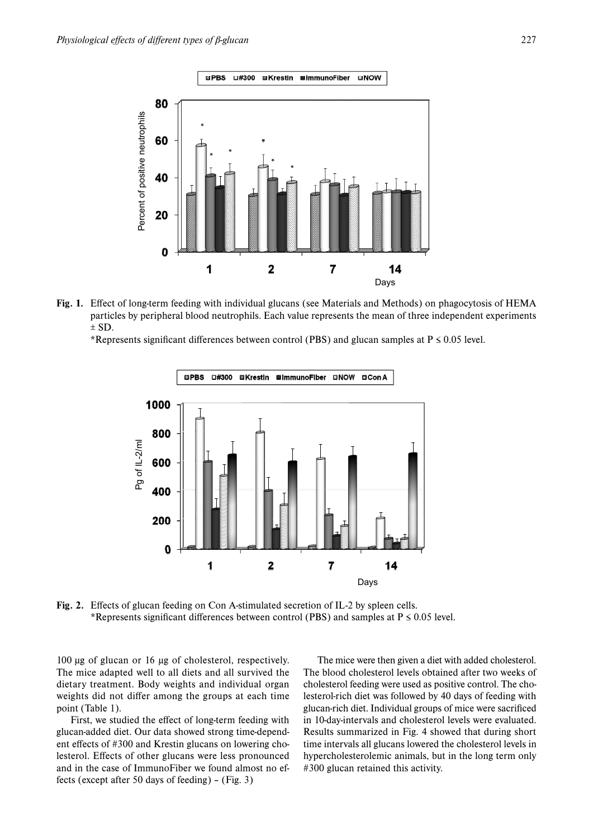







**Fig. 2.** Effects of glucan feeding on Con A-stimulated secretion of IL-2 by spleen cells. \*Represents significant differences between control (PBS) and samples at  $P \le 0.05$  level.

100 μg of glucan or 16 μg of cholesterol, respectively. The mice adapted well to all diets and all survived the dietary treatment. Body weights and individual organ weights did not differ among the groups at each time point (Table 1).

First, we studied the effect of long-term feeding with glucan-added diet. Our data showed strong time-dependent effects of #300 and Krestin glucans on lowering cholesterol. Effects of other glucans were less pronounced and in the case of ImmunoFiber we found almost no effects (except after 50 days of feeding) – (Fig. 3)

The mice were then given a diet with added cholesterol. The blood cholesterol levels obtained after two weeks of cholesterol feeding were used as positive control. The cholesterol-rich diet was followed by 40 days of feeding with glucan-rich diet. Individual groups of mice were sacrificed in 10-day-intervals and cholesterol levels were evaluated. Results summarized in Fig. 4 showed that during short time intervals all glucans lowered the cholesterol levels in hypercholesterolemic animals, but in the long term only #300 glucan retained this activity.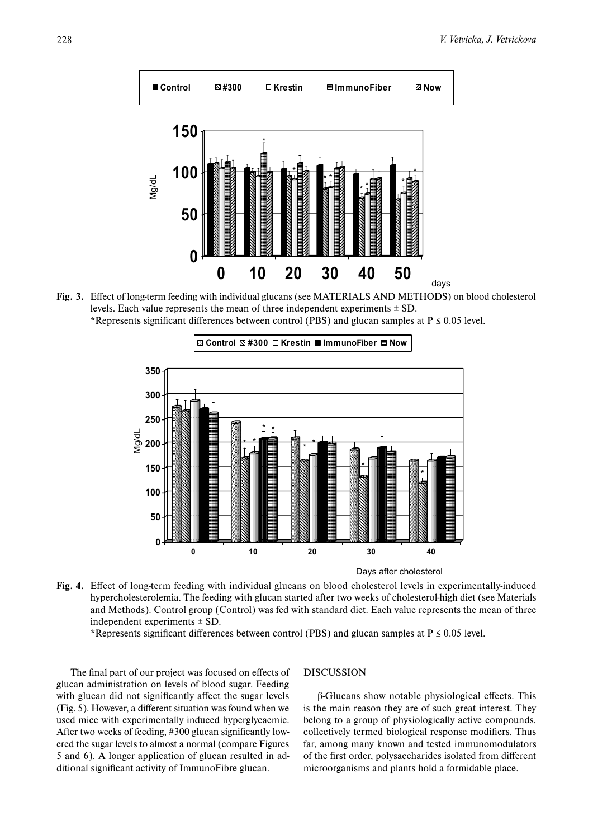

**Fig. 3.** Effect of long-term feeding with individual glucans (see MATERIALS AND METHODS) on blood cholesterol levels. Each value represents the mean of three independent experiments  $\pm$  SD. \*Represents significant differences between control (PBS) and glucan samples at P ≤ 0.05 level.



Days after cholesterol

**Fig. 4.** Effect of long-term feeding with individual glucans on blood cholesterol levels in experimentally-induced hypercholesterolemia. The feeding with glucan started after two weeks of cholesterol-high diet (see Materials and Methods). Control group (Control) was fed with standard diet. Each value represents the mean of three independent experiments ± SD.

\*Represents significant differences between control (PBS) and glucan samples at P ≤ 0.05 level.

The final part of our project was focused on effects of glucan administration on levels of blood sugar. Feeding with glucan did not significantly affect the sugar levels (Fig. 5). However, a different situation was found when we used mice with experimentally induced hyperglycaemie. After two weeks of feeding, #300 glucan significantly lowered the sugar levels to almost a normal (compare Figures 5 and 6). A longer application of glucan resulted in additional significant activity of ImmunoFibre glucan.

#### DISCUSSION

β-Glucans show notable physiological effects. This is the main reason they are of such great interest. They belong to a group of physiologically active compounds, collectively termed biological response modifiers. Thus far, among many known and tested immunomodulators of the first order, polysaccharides isolated from different microorganisms and plants hold a formidable place.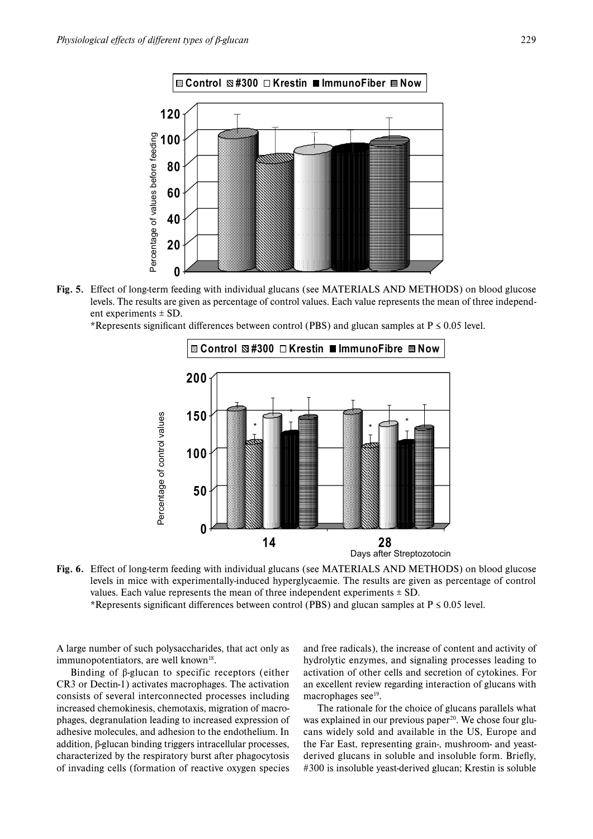

**Fig. 5.** Effect of long-term feeding with individual glucans (see MATERIALS AND METHODS) on blood glucose levels. The results are given as percentage of control values. Each value represents the mean of three independent experiments ± SD.



\*Represents significant differences between control (PBS) and glucan samples at P ≤ 0.05 level.

**14 28** Days after Streptozotocin

**Fig. 6.** Effect of long-term feeding with individual glucans (see MATERIALS AND METHODS) on blood glucose levels in mice with experimentally-induced hyperglycaemie. The results are given as percentage of control values. Each value represents the mean of three independent experiments  $\pm$  SD.

\*Represents significant differences between control (PBS) and glucan samples at P ≤ 0.05 level.

A large number of such polysaccharides, that act only as immunopotentiators, are well known $18$ .

Binding of β-glucan to specific receptors (either CR3 or Dectin-1) activates macrophages. The activation consists of several interconnected processes including increased chemokinesis, chemotaxis, migration of macrophages, degranulation leading to increased expression of adhesive molecules, and adhesion to the endothelium. In addition, β-glucan binding triggers intracellular processes, characterized by the respiratory burst after phagocytosis of invading cells (formation of reactive oxygen species

and free radicals), the increase of content and activity of hydrolytic enzymes, and signaling processes leading to activation of other cells and secretion of cytokines. For an excellent review regarding interaction of glucans with macrophages see<sup>19</sup>.

The rationale for the choice of glucans parallels what was explained in our previous paper<sup>20</sup>. We chose four glucans widely sold and available in the US, Europe and the Far East, representing grain-, mushroom- and yeastderived glucans in soluble and insoluble form. Briefly, #300 is insoluble yeast-derived glucan; Krestin is soluble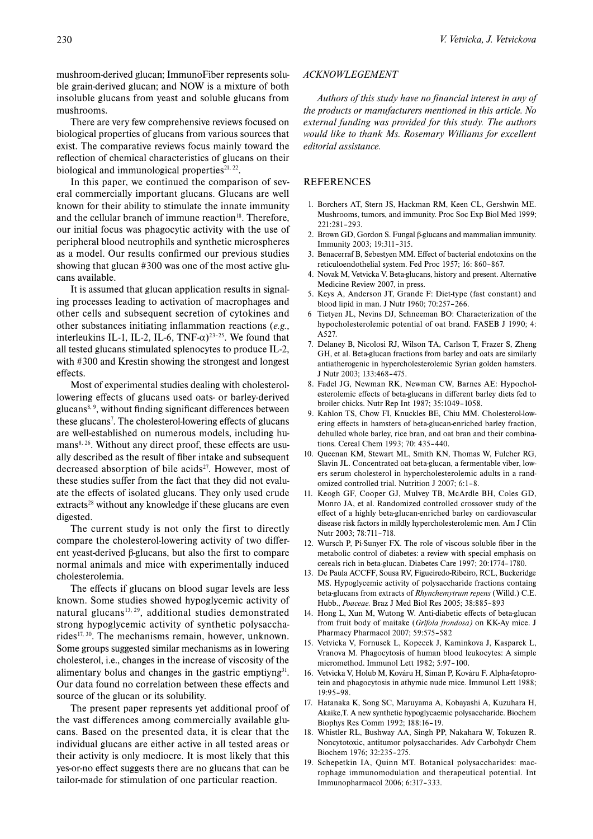mushroom-derived glucan; ImmunoFiber represents soluble grain-derived glucan; and NOW is a mixture of both insoluble glucans from yeast and soluble glucans from mushrooms.

There are very few comprehensive reviews focused on biological properties of glucans from various sources that exist. The comparative reviews focus mainly toward the reflection of chemical characteristics of glucans on their biological and immunological properties $21, 22$ .

In this paper, we continued the comparison of several commercially important glucans. Glucans are well known for their ability to stimulate the innate immunity and the cellular branch of immune reaction<sup>18</sup>. Therefore, our initial focus was phagocytic activity with the use of peripheral blood neutrophils and synthetic microspheres as a model. Our results confirmed our previous studies showing that glucan #300 was one of the most active glucans available.

It is assumed that glucan application results in signaling processes leading to activation of macrophages and other cells and subsequent secretion of cytokines and other substances initiating inflammation reactions (*e.g.*, interleukins IL-1, IL-2, IL-6,  $TNF-\alpha$ <sup>23-25</sup>. We found that all tested glucans stimulated splenocytes to produce IL-2, with #300 and Krestin showing the strongest and longest effects.

Most of experimental studies dealing with cholesterollowering effects of glucans used oats- or barley-derived glucans<sup>8, 9</sup>, without finding significant differences between these glucans<sup>7</sup>. The cholesterol-lowering effects of glucans are well-established on numerous models, including hu $mans<sup>8, 26</sup>$ . Without any direct proof, these effects are usually described as the result of fiber intake and subsequent decreased absorption of bile acids<sup>27</sup>. However, most of these studies suffer from the fact that they did not evaluate the effects of isolated glucans. They only used crude  $extracts<sup>28</sup> without any knowledge if these glucans are even$ digested.

The current study is not only the first to directly compare the cholesterol-lowering activity of two different yeast-derived β-glucans, but also the first to compare normal animals and mice with experimentally induced cholesterolemia.

The effects if glucans on blood sugar levels are less known. Some studies showed hypoglycemic activity of natural glucans<sup>13, 29</sup>, additional studies demonstrated strong hypoglycemic activity of synthetic polysaccharides<sup>17, 30</sup>. The mechanisms remain, however, unknown. Some groups suggested similar mechanisms as in lowering cholesterol, i.e., changes in the increase of viscosity of the alimentary bolus and changes in the gastric emptiyng $31$ . Our data found no correlation between these effects and source of the glucan or its solubility.

The present paper represents yet additional proof of the vast differences among commercially available glucans. Based on the presented data, it is clear that the individual glucans are either active in all tested areas or their activity is only mediocre. It is most likely that this yes-or-no effect suggests there are no glucans that can be tailor-made for stimulation of one particular reaction.

#### *ACKNOWLEGEMENT*

*Authors of this study have no financial interest in any of the products or manufacturers mentioned in this article. No external funding was provided for this study. The authors would like to thank Ms. Rosemary Williams for excellent editorial assistance.*

### **REFERENCES**

- 1. Borchers AT, Stern JS, Hackman RM, Keen CL, Gershwin ME. Mushrooms, tumors, and immunity. Proc Soc Exp Biol Med 1999; 221:281–293.
- 2. Brown GD, Gordon S. Fungal β-glucans and mammalian immunity. Immunity 2003; 19:311–315.
- 3. Benacerraf B, Sebestyen MM. Effect of bacterial endotoxins on the reticuloendothelial system. Fed Proc 1957; 16: 860–867.
- 4. Novak M, Vetvicka V. Beta-glucans, history and present. Alternative Medicine Review 2007, in press.
- 5. Keys A, Anderson JT, Grande F: Diet-type (fast constant) and blood lipid in man. J Nutr 1960; 70:257–266.
- 6 Tietyen JL, Nevins DJ, Schneeman BO: Characterization of the hypocholesterolemic potential of oat brand. FASEB J 1990; 4: A527.
- 7. Delaney B, Nicolosi RJ, Wilson TA, Carlson T, Frazer S, Zheng GH, et al. Beta-glucan fractions from barley and oats are similarly antiatherogenic in hypercholesterolemic Syrian golden hamsters. J Nutr 2003; 133:468–475.
- 8. Fadel JG, Newman RK, Newman CW, Barnes AE: Hypocholesterolemic effects of beta-glucans in different barley diets fed to broiler chicks. Nutr Rep Int 1987; 35:1049–1058.
- 9. Kahlon TS, Chow FI, Knuckles BE, Chiu MM. Cholesterol-lowering effects in hamsters of beta-glucan-enriched barley fraction, dehulled whole barley, rice bran, and oat bran and their combinations. Cereal Chem 1993; 70: 435–440.
- 10. Queenan KM, Stewart ML, Smith KN, Thomas W, Fulcher RG, Slavin JL. Concentrated oat beta-glucan, a fermentable viber, lowers serum cholesterol in hypercholesterolemic adults in a randomized controlled trial. Nutrition J 2007; 6:1–8.
- 11. Keogh GF, Cooper GJ, Mulvey TB, McArdle BH, Coles GD, Monro JA, et al. Randomized controlled crossover study of the effect of a highly beta-glucan-enriched barley on cardiovascular disease risk factors in mildly hypercholesterolemic men. Am J Clin Nutr 2003; 78:711–718.
- 12. Wursch P, Pi-Sunyer FX. The role of viscous soluble fiber in the metabolic control of diabetes: a review with special emphasis on cereals rich in beta-glucan. Diabetes Care 1997; 20:1774–1780.
- 13. De Paula ACCFF, Sousa RV, Figueiredo-Ribeiro, RCL, Buckeridge MS. Hypoglycemic activity of polysaccharide fractions containg beta-glucans from extracts of *Rhynchemytrum repens* (Willd.) C.E. Hubb., *Poaceae.* Braz J Med Biol Res 2005; 38:885–893
- 14. Hong L, Xun M, Wutong W. Anti-diabetic effects of beta-glucan from fruit body of maitake (*Grifola frondosa)* on KK-Ay mice. J Pharmacy Pharmacol 2007; 59:575–582
- 15. Vetvicka V, Fornusek L, Kopecek J, Kaminkova J, Kasparek L, Vranova M. Phagocytosis of human blood leukocytes: A simple micromethod. Immunol Lett 1982; 5:97–100.
- 16. Vetvicka V, Holub M, Kováru H, Siman P, Kováru F. Alpha-fetoprotein and phagocytosis in athymic nude mice. Immunol Lett 1988; 19:95–98.
- 17. Hatanaka K, Song SC, Maruyama A, Kobayashi A, Kuzuhara H, Akaike,T. A new synthetic hypoglycaemic polysaccharide. Biochem Biophys Res Comm 1992; 188:16–19.
- 18. Whistler RL, Bushway AA, Singh PP, Nakahara W, Tokuzen R. Noncytotoxic, antitumor polysaccharides. Adv Carbohydr Chem Biochem 1976; 32:235–275.
- 19. Schepetkin IA, Quinn MT. Botanical polysaccharides: macrophage immunomodulation and therapeutical potential. Int Immunopharmacol 2006; 6:317–333.